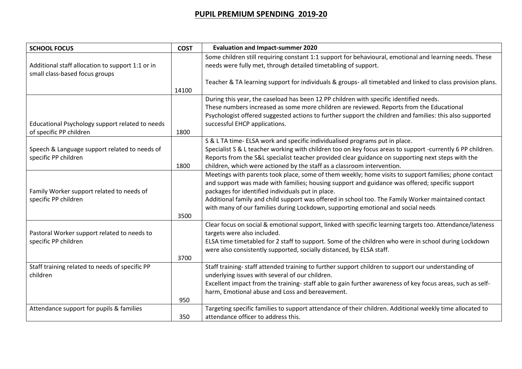## **PUPIL PREMIUM SPENDING 2019-20**

| <b>SCHOOL FOCUS</b>                              | <b>COST</b> | <b>Evaluation and Impact-summer 2020</b>                                                                                                                                                |
|--------------------------------------------------|-------------|-----------------------------------------------------------------------------------------------------------------------------------------------------------------------------------------|
|                                                  |             | Some children still requiring constant 1:1 support for behavioural, emotional and learning needs. These                                                                                 |
| Additional staff allocation to support 1:1 or in |             | needs were fully met, through detailed timetabling of support.                                                                                                                          |
| small class-based focus groups                   |             | Teacher & TA learning support for individuals & groups- all timetabled and linked to class provision plans.                                                                             |
|                                                  | 14100       |                                                                                                                                                                                         |
|                                                  |             | During this year, the caseload has been 12 PP children with specific identified needs.                                                                                                  |
|                                                  |             | These numbers increased as some more children are reviewed. Reports from the Educational                                                                                                |
|                                                  |             | Psychologist offered suggested actions to further support the children and families: this also supported                                                                                |
| Educational Psychology support related to needs  |             | successful EHCP applications.                                                                                                                                                           |
| of specific PP children                          | 1800        |                                                                                                                                                                                         |
|                                                  |             | S & L TA time- ELSA work and specific individualised programs put in place.                                                                                                             |
| Speech & Language support related to needs of    |             | Specialist S & L teacher working with children too on key focus areas to support -currently 6 PP children.                                                                              |
| specific PP children                             |             | Reports from the S&L specialist teacher provided clear guidance on supporting next steps with the                                                                                       |
|                                                  | 1800        | children, which were actioned by the staff as a classroom intervention.                                                                                                                 |
|                                                  |             | Meetings with parents took place, some of them weekly; home visits to support families; phone contact                                                                                   |
|                                                  |             | and support was made with families; housing support and guidance was offered; specific support                                                                                          |
| Family Worker support related to needs of        |             | packages for identified individuals put in place.                                                                                                                                       |
| specific PP children                             |             | Additional family and child support was offered in school too. The Family Worker maintained contact<br>with many of our families during Lockdown, supporting emotional and social needs |
|                                                  | 3500        |                                                                                                                                                                                         |
|                                                  |             | Clear focus on social & emotional support, linked with specific learning targets too. Attendance/lateness                                                                               |
| Pastoral Worker support related to needs to      |             | targets were also included.                                                                                                                                                             |
| specific PP children                             |             | ELSA time timetabled for 2 staff to support. Some of the children who were in school during Lockdown                                                                                    |
|                                                  |             | were also consistently supported, socially distanced, by ELSA staff.                                                                                                                    |
|                                                  | 3700        |                                                                                                                                                                                         |
| Staff training related to needs of specific PP   |             | Staff training- staff attended training to further support children to support our understanding of                                                                                     |
| children                                         |             | underlying issues with several of our children.                                                                                                                                         |
|                                                  |             | Excellent impact from the training- staff able to gain further awareness of key focus areas, such as self-                                                                              |
|                                                  |             | harm, Emotional abuse and Loss and bereavement.                                                                                                                                         |
|                                                  | 950         |                                                                                                                                                                                         |
| Attendance support for pupils & families         |             | Targeting specific families to support attendance of their children. Additional weekly time allocated to                                                                                |
|                                                  | 350         | attendance officer to address this.                                                                                                                                                     |